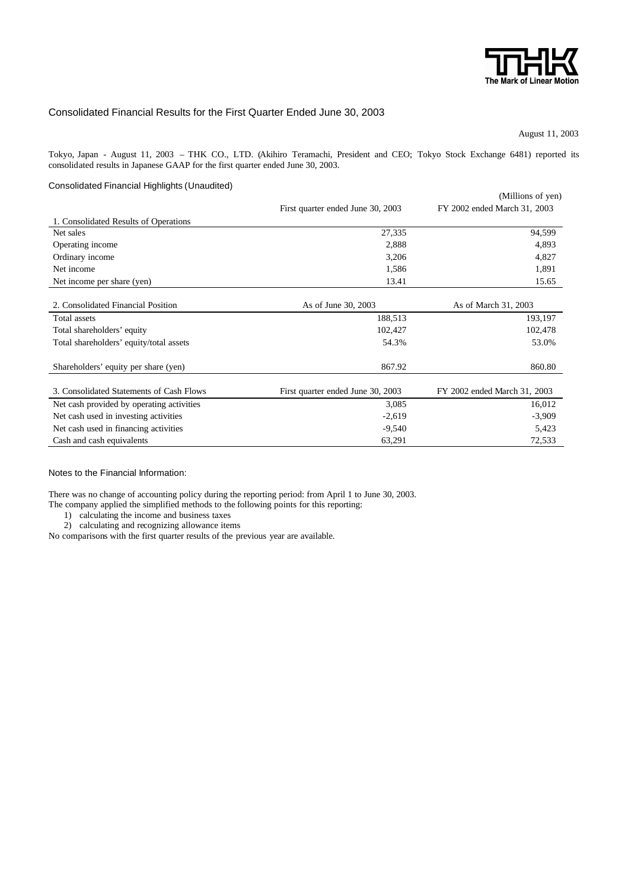

## Consolidated Financial Results for the First Quarter Ended June 30, 2003

August 11, 2003

Tokyo, Japan - August 11, 2003 – THK CO., LTD. (Akihiro Teramachi, President and CEO; Tokyo Stock Exchange 6481) reported its consolidated results in Japanese GAAP for the first quarter ended June 30, 2003.

### Consolidated Financial Highlights (Unaudited)

|                                           |                                   | (Millions of yen)            |
|-------------------------------------------|-----------------------------------|------------------------------|
|                                           | First quarter ended June 30, 2003 | FY 2002 ended March 31, 2003 |
| 1. Consolidated Results of Operations     |                                   |                              |
| Net sales                                 | 27,335                            | 94,599                       |
| Operating income                          | 2,888                             | 4,893                        |
| Ordinary income                           | 3,206                             | 4,827                        |
| Net income                                | 1,586                             | 1,891                        |
| Net income per share (yen)                | 13.41                             | 15.65                        |
|                                           |                                   |                              |
| 2. Consolidated Financial Position        | As of June 30, 2003               | As of March 31, 2003         |
| Total assets                              | 188,513                           | 193,197                      |
| Total shareholders' equity                | 102,427                           | 102,478                      |
| Total shareholders' equity/total assets   | 54.3%                             | 53.0%                        |
|                                           |                                   |                              |
| Shareholders' equity per share (yen)      | 867.92                            | 860.80                       |
|                                           |                                   |                              |
| 3. Consolidated Statements of Cash Flows  | First quarter ended June 30, 2003 | FY 2002 ended March 31, 2003 |
| Net cash provided by operating activities | 3,085                             | 16,012                       |
| Net cash used in investing activities     | $-2,619$                          | $-3,909$                     |
| Net cash used in financing activities     | $-9,540$                          | 5,423                        |
| Cash and cash equivalents                 | 63,291                            | 72,533                       |

Notes to the Financial Information:

There was no change of accounting policy during the reporting period: from April 1 to June 30, 2003.

The company applied the simplified methods to the following points for this reporting:

1) calculating the income and business taxes

2) calculating and recognizing allowance items

No comparisons with the first quarter results of the previous year are available.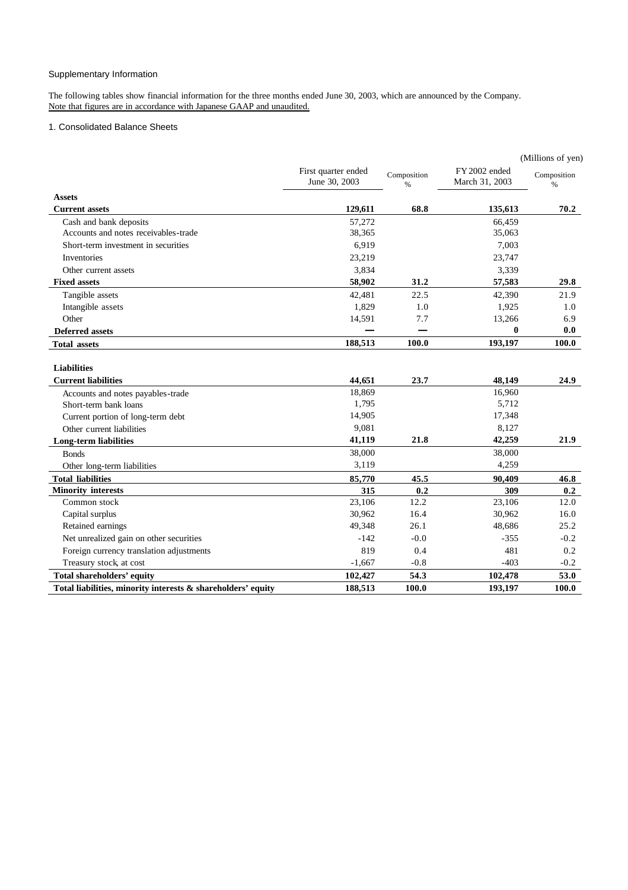# Supplementary Information

The following tables show financial information for the three months ended June 30, 2003, which are announced by the Company. Note that figures are in accordance with Japanese GAAP and unaudited.

## 1. Consolidated Balance Sheets

|                                                              |                                      |                              |                                 | (Millions of yen)   |
|--------------------------------------------------------------|--------------------------------------|------------------------------|---------------------------------|---------------------|
|                                                              | First quarter ended<br>June 30, 2003 | Composition<br>$\frac{0}{0}$ | FY 2002 ended<br>March 31, 2003 | Composition<br>$\%$ |
| <b>Assets</b>                                                |                                      |                              |                                 |                     |
| <b>Current assets</b>                                        | 129,611                              | 68.8                         | 135,613                         | 70.2                |
| Cash and bank deposits                                       | 57,272                               |                              | 66,459                          |                     |
| Accounts and notes receivables-trade                         | 38,365                               |                              | 35,063                          |                     |
| Short-term investment in securities                          | 6,919                                |                              | 7,003                           |                     |
| Inventories                                                  | 23,219                               |                              | 23,747                          |                     |
| Other current assets                                         | 3,834                                |                              | 3,339                           |                     |
| <b>Fixed assets</b>                                          | 58,902                               | 31.2                         | 57,583                          | 29.8                |
| Tangible assets                                              | 42,481                               | 22.5                         | 42,390                          | 21.9                |
| Intangible assets                                            | 1,829                                | 1.0                          | 1,925                           | 1.0                 |
| Other                                                        | 14,591                               | 7.7                          | 13,266                          | 6.9                 |
| <b>Deferred assets</b>                                       |                                      |                              | $\bf{0}$                        | 0.0                 |
| <b>Total assets</b>                                          | 188,513                              | 100.0                        | 193,197                         | 100.0               |
| <b>Liabilities</b>                                           |                                      |                              |                                 |                     |
| <b>Current liabilities</b>                                   | 44,651                               | 23.7                         | 48,149                          | 24.9                |
| Accounts and notes payables-trade                            | 18,869                               |                              | 16,960                          |                     |
| Short-term bank loans                                        | 1,795                                |                              | 5,712                           |                     |
| Current portion of long-term debt                            | 14,905                               |                              | 17,348                          |                     |
| Other current liabilities                                    | 9,081                                |                              | 8,127                           |                     |
| <b>Long-term liabilities</b>                                 | 41,119                               | 21.8                         | 42,259                          | 21.9                |
| <b>Bonds</b>                                                 | 38,000                               |                              | 38,000                          |                     |
| Other long-term liabilities                                  | 3,119                                |                              | 4,259                           |                     |
| <b>Total liabilities</b>                                     | 85,770                               | 45.5                         | 90,409                          | 46.8                |
| <b>Minority interests</b>                                    | 315                                  | 0.2                          | 309                             | 0.2                 |
| Common stock                                                 | 23,106                               | 12.2                         | 23,106                          | 12.0                |
| Capital surplus                                              | 30,962                               | 16.4                         | 30,962                          | 16.0                |
| Retained earnings                                            | 49,348                               | 26.1                         | 48,686                          | 25.2                |
| Net unrealized gain on other securities                      | $-142$                               | $-0.0$                       | $-355$                          | $-0.2$              |
| Foreign currency translation adjustments                     | 819                                  | 0.4                          | 481                             | 0.2                 |
| Treasury stock, at cost                                      | $-1,667$                             | $-0.8$                       | $-403$                          | $-0.2$              |
| <b>Total shareholders' equity</b>                            | 102,427                              | 54.3                         | 102,478                         | 53.0                |
| Total liabilities, minority interests & shareholders' equity | 188,513                              | <b>100.0</b>                 | 193,197                         | 100.0               |
|                                                              |                                      |                              |                                 |                     |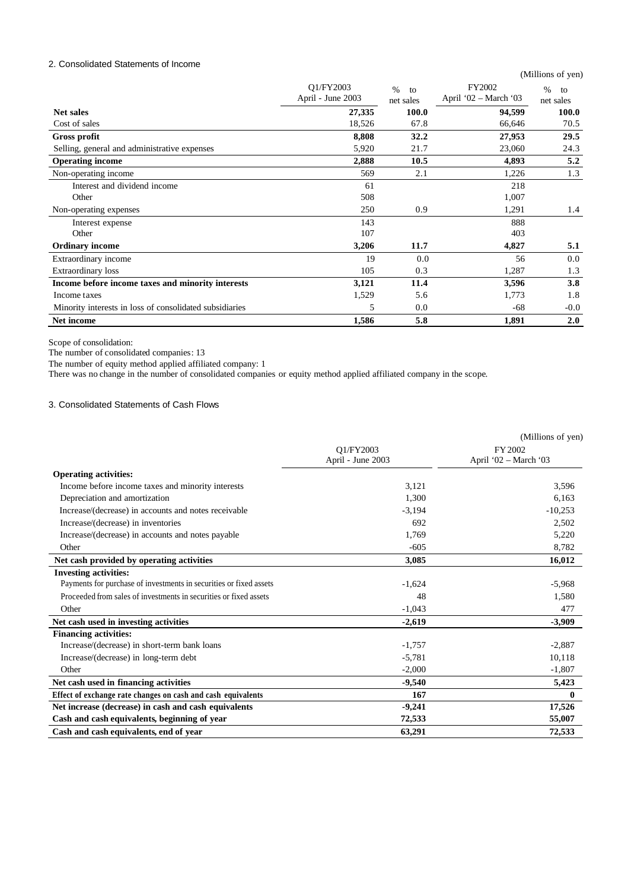## 2. Consolidated Statements of Income

|                                                         |                                |                         |                                 | (Millions of yen)       |
|---------------------------------------------------------|--------------------------------|-------------------------|---------------------------------|-------------------------|
|                                                         | Q1/FY2003<br>April - June 2003 | $\%$<br>to<br>net sales | FY2002<br>April '02 – March '03 | $\%$<br>to<br>net sales |
| Net sales                                               | 27,335                         | 100.0                   | 94,599                          | 100.0                   |
| Cost of sales                                           | 18,526                         | 67.8                    | 66,646                          | 70.5                    |
| <b>Gross profit</b>                                     | 8,808                          | 32.2                    | 27,953                          | 29.5                    |
| Selling, general and administrative expenses            | 5,920                          | 21.7                    | 23,060                          | 24.3                    |
| <b>Operating income</b>                                 | 2,888                          | 10.5                    | 4,893                           | 5.2                     |
| Non-operating income                                    | 569                            | 2.1                     | 1,226                           | 1.3                     |
| Interest and dividend income                            | 61                             |                         | 218                             |                         |
| Other                                                   | 508                            |                         | 1,007                           |                         |
| Non-operating expenses                                  | 250                            | 0.9                     | 1,291                           | 1.4                     |
| Interest expense                                        | 143                            |                         | 888                             |                         |
| Other                                                   | 107                            |                         | 403                             |                         |
| <b>Ordinary income</b>                                  | 3,206                          | 11.7                    | 4,827                           | 5.1                     |
| Extraordinary income                                    | 19                             | 0.0                     | 56                              | 0.0                     |
| Extraordinary loss                                      | 105                            | 0.3                     | 1,287                           | 1.3                     |
| Income before income taxes and minority interests       | 3,121                          | 11.4                    | 3,596                           | 3.8                     |
| Income taxes                                            | 1,529                          | 5.6                     | 1,773                           | 1.8                     |
| Minority interests in loss of consolidated subsidiaries | 5                              | 0.0                     | $-68$                           | $-0.0$                  |
| Net income                                              | 1,586                          | 5.8                     | 1,891                           | 2.0                     |

Scope of consolidation:

The number of consolidated companies: 13

The number of equity method applied affiliated company: 1

There was no change in the number of consolidated companies or equity method applied affiliated company in the scope.

# 3. Consolidated Statements of Cash Flows

|                                                                    |                   | (Millions of yen)     |
|--------------------------------------------------------------------|-------------------|-----------------------|
|                                                                    | Q1/FY2003         | FY 2002               |
|                                                                    | April - June 2003 | April '02 - March '03 |
| <b>Operating activities:</b>                                       |                   |                       |
| Income before income taxes and minority interests                  | 3,121             | 3,596                 |
| Depreciation and amortization                                      | 1,300             | 6,163                 |
| Increase/(decrease) in accounts and notes receivable               | $-3,194$          | $-10,253$             |
| Increase/(decrease) in inventories                                 | 692               | 2,502                 |
| Increase/(decrease) in accounts and notes payable                  | 1,769             | 5,220                 |
| Other                                                              | $-605$            | 8,782                 |
| Net cash provided by operating activities                          | 3,085             | 16,012                |
| <b>Investing activities:</b>                                       |                   |                       |
| Payments for purchase of investments in securities or fixed assets | $-1,624$          | $-5,968$              |
| Proceeded from sales of investments in securities or fixed assets  | 48                | 1,580                 |
| Other                                                              | $-1,043$          | 477                   |
| Net cash used in investing activities                              | $-2,619$          | $-3,909$              |
| <b>Financing activities:</b>                                       |                   |                       |
| Increase/(decrease) in short-term bank loans                       | $-1,757$          | $-2,887$              |
| Increase/(decrease) in long-term debt                              | $-5,781$          | 10,118                |
| Other                                                              | $-2,000$          | $-1,807$              |
| Net cash used in financing activities                              | $-9,540$          | 5,423                 |
| Effect of exchange rate changes on cash and cash equivalents       | 167               | $\bf{0}$              |
| Net increase (decrease) in cash and cash equivalents               | $-9,241$          | 17,526                |
| Cash and cash equivalents, beginning of year                       | 72,533            | 55,007                |
| Cash and cash equivalents, end of year                             | 63,291            | 72,533                |